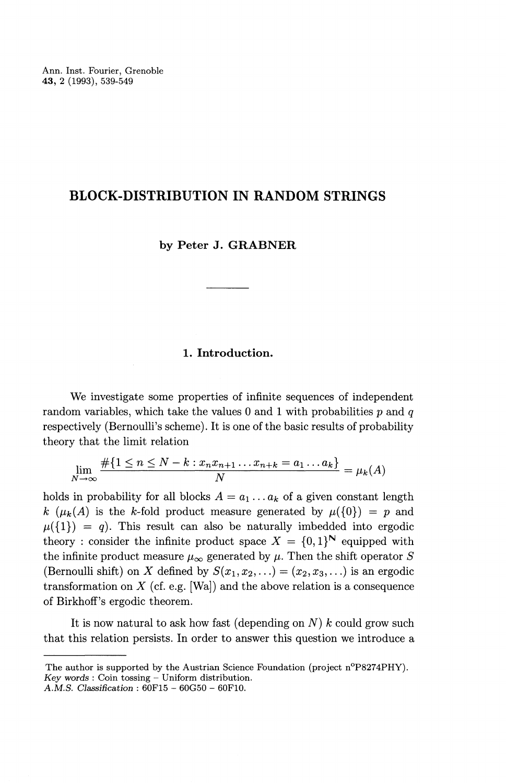# **BLOCK-DISTRIBUTION IN RANDOM STRINGS**

## **by Peter J. GRABNER**

## **1. Introduction.**

We investigate some properties of infinite sequences of independent random variables, which take the values 0 and 1 with probabilities *p* and *q* respectively (Bernoulli's scheme). It is one of the basic results of probability

theory that the limit relation  
\n
$$
\lim_{N \to \infty} \frac{\#\{1 \le n \le N - k : x_n x_{n+1} \dots x_{n+k} = a_1 \dots a_k\}}{N} = \mu_k(A)
$$

holds in probability for all blocks  $A = a_1 \ldots a_k$  of a given constant length  $k (\mu_k(A)$  is the k-fold product measure generated by  $\mu({0}) = p$  and  $\mu(\{1\}) = q$ ). This result can also be naturally imbedded into ergodic  $\mu(\{1\}) = q$ ). This result can also be naturally imbedded into ergodic theory : consider the infinite product space  $X = \{0,1\}^N$  equipped with the infinite product measure  $\mu_{\infty}$  generated by  $\mu$ . Then the shift operator *S* (Bernoulli shift) on *X* defined by  $S(x_1, x_2, ...) = (x_2, x_3, ...)$  is an ergodic transformation on *X* (cf. e.g. [Wa]) and the above relation is a consequence of Birkhoff's ergodic theorem.

It is now natural to ask how fast (depending on *N) k* could grow such that this relation persists. In order to answer this question we introduce a

The author is supported by the Austrian Science Foundation (project n°P8274PHY). *Key words :* Coin tossing — Uniform distribution.

*A.M.S. Classification :* 60F15 - 60G50 - 60F10.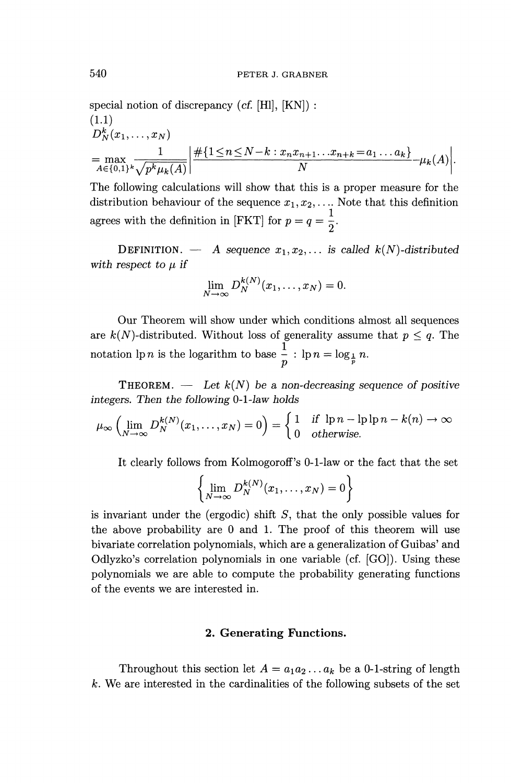special notion of discrepancy (*cf.* [HI], [KN]) : (1.1)  $D_N^k(x_1,\ldots,x_N)$  $\begin{aligned} &= \max_{A \in \{0,1\}^k} \frac{1}{\sqrt{p^k \mu_k(A)}} \bigg| \frac{\#\{1 \le n \le N-k : x_n x_{n+1} \dots x_{n+k} = a_1 \dots a_k\}}{N} - \mu_k(A) \end{aligned}$ 

The following calculations will show that this is a proper measure for the distribution behaviour of the sequence  $x_1, x_2, \ldots$  Note that this definition agrees with the definition in [FKT] for  $p = q = \frac{1}{2}$ .

**DEFINITION.** — A sequence  $x_1, x_2, \ldots$  is called  $k(N)$ -distributed with respect to  $\mu$  if

$$
\lim_{N \to \infty} D_N^{k(N)}(x_1, \ldots, x_N) = 0.
$$

Our Theorem will show under which conditions almost all sequences are  $k(N)$ -distributed. Without loss of generality assume that  $p \leq q$ . The notation  $\ln n$  is the logarithm to base  $\frac{1}{p}$  :  $\ln n = \log_{\frac{1}{p}} n$ .

THEOREM. — *Let k(N) be a non-decreasing sequence of positive integers. Then the following* 0-1-Jaw *holds*

$$
\mu_{\infty} \left( \lim_{N \to \infty} D_N^{k(N)}(x_1, \dots, x_N) = 0 \right) = \begin{cases} 1 & \text{if } \ln n - \ln \ln n - k(n) \to \infty \\ 0 & \text{otherwise.} \end{cases}
$$

It clearly follows from Kolmogoroff's 0-1-law or the fact that the set

$$
\left\{\lim_{N\to\infty} D_N^{k(N)}(x_1,\ldots,x_N)=0\right\}
$$

is invariant under the (ergodic) shift *S,* that the only possible values for the above probability are 0 and 1. The proof of this theorem will use bivariate correlation polynomials, which are a generalization of Guibas' and Odiyzko's correlation polynomials in one variable (cf. [GO]). Using these polynomials we are able to compute the probability generating functions of the events we are interested in.

### **2. Generating Functions.**

Throughout this section let  $A = a_1 a_2 \dots a_k$  be a 0-1-string of length *k.* We are interested in the cardinalities of the following subsets of the set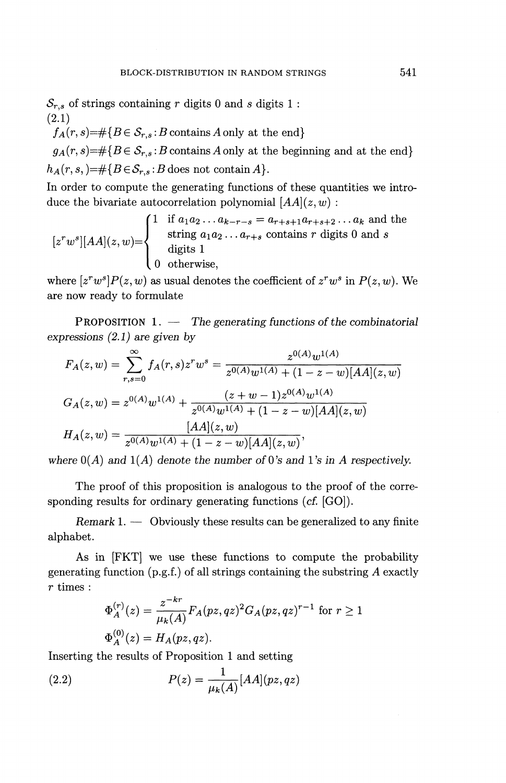$S_{r,s}$  of strings containing r digits 0 and *s* digits 1 : (2.1)

 $f_A(r, s) = \#\{B \in \mathcal{S}_{r, s} : B \text{ contains } A \text{ only at the end}\}\$ 

 $g_A(r,s) = \#\{B \in \mathcal{S}_{r,s} : B \text{ contains } A \text{ only at the beginning and at the end}\}\$  $h_A(r,s,) = \# \{B \in \mathcal{S}_{r,s} : B \text{ does not contain } A\}.$ 

In order to compute the generating functions of these quantities we introduce the bivariate autocorrelation polynomial  $[AA](z,w)$ :

$$
[z^rw^s][AA](z,w) = \begin{cases} 1 & \text{if } a_1 a_2 \dots a_{k-r-s} = a_{r+s+1} a_{r+s+2} \dots a_k \text{ and the string } a_1 a_2 \dots a_{r+s} \text{ contains } r \text{ digits } 0 \text{ and } s \\ & \text{digits } 1 \\ 0 & \text{otherwise,} \end{cases}
$$

where  $[z^rw^s]P(z, w)$  as usual denotes the coefficient of  $z^rw^s$  in  $P(z, w)$ . We are now ready to formulate

PROPOSITION 1. — *The generating functions of the combinatorial expressions (2.1) are given by*

$$
F_A(z, w) = \sum_{r,s=0}^{\infty} f_A(r,s)z^rw^s = \frac{z^{0(A)}w^{1(A)}}{z^{0(A)}w^{1(A)} + (1 - z - w)[AA](z, w)}
$$

$$
G_A(z, w) = z^{0(A)}w^{1(A)} + \frac{(z + w - 1)z^{0(A)}w^{1(A)}}{z^{0(A)}w^{1(A)} + (1 - z - w)[AA](z, w)}
$$

$$
H_A(z, w) = \frac{[AA](z, w)}{z^{0(A)}w^{1(A)} + (1 - z - w)[AA](z, w)},
$$

where  $O(A)$  and  $1(A)$  denote the number of 0's and 1's in A respectively.

The proof of this proposition is analogous to the proof of the corresponding results for ordinary generating functions (cf. [GO]).

*Remark* 1. — Obviously these results can be generalized to any finite alphabet.

As in [FKT] we use these functions to compute the probability generating function  $(p.g.f.)$  of all strings containing the substring A exactly *r* times :

$$
\Phi_A^{(r)}(z) = \frac{z^{-kr}}{\mu_k(A)} F_A(pz, qz)^2 G_A(pz, qz)^{r-1} \text{ for } r \ge 1
$$
  

$$
\Phi_A^{(0)}(z) = H_A(pz, qz).
$$

Inserting the results of Proposition 1 and setting

(2.2) 
$$
P(z) = \frac{1}{\mu_k(A)} [AA](pz, qz)
$$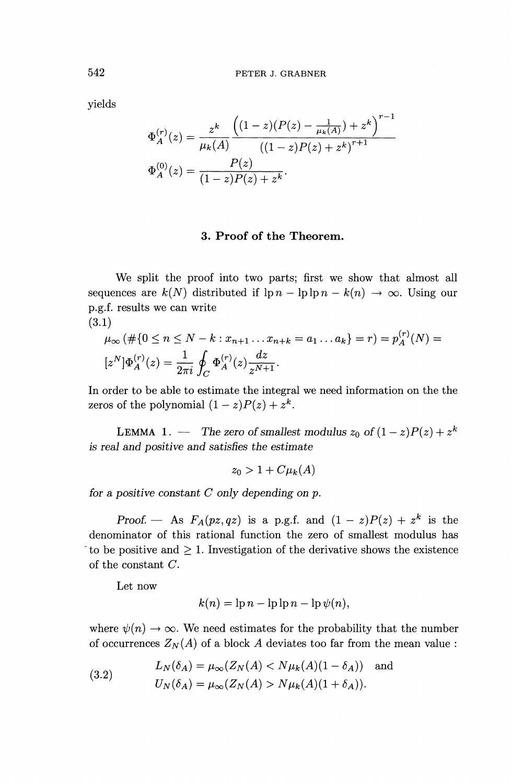yields

$$
\text{PETER J. GRABNER}
$$
\n
$$
\Phi_A^{(r)}(z) = \frac{z^k}{\mu_k(A)} \frac{\left( (1-z)(P(z) - \frac{1}{\mu_k(A)}) + z^k \right)^{r-1}}{((1-z)P(z) + z^k)^{r+1}}
$$
\n
$$
\Phi_A^{(0)}(z) = \frac{P(z)}{(1-z)P(z) + z^k}.
$$

## **3. Proof of the Theorem.**

We split the proof into two parts; first we show that almost all sequences are  $k(N)$  distributed if  $\ln n - \ln \ln n - k(n) \to \infty$ . Using our p.g.f. results we can write

$$
(3.1)
$$

1)  
\n
$$
\mu_{\infty}(\#\{0 \le n \le N - k : x_{n+1} \dots x_{n+k} = a_1 \dots a_k\} = r) = p_A^{(r)}(N) = [z^N] \Phi_A^{(r)}(z) = \frac{1}{2\pi i} \oint_C \Phi_A^{(r)}(z) \frac{dz}{z^{N+1}}.
$$

In order to be able to estimate the integral we need information on the the zeros of the polynomial  $(1-z)P(z) + z^k$ .

**LEMMA** 1. — The zero of smallest modulus  $z_0$  of  $(1-z)P(z) + z^k$ *is real and positive and satisfies the estimate*

$$
z_0 > 1 + C \mu_k(A)
$$

*for a positive constant C only depending on p.*

*Proof.* — As  $F_A(pz,qz)$  is a p.g.f. and  $(1 - z)P(z) + z^k$  is the denominator of this rational function the zero of smallest modulus has to be positive and  $\geq 1$ . Investigation of the derivative shows the existence of the constant *C.*

Let now

$$
k(n) = \ln n - \ln \ln n - \ln \psi(n),
$$

where  $\psi(n) \to \infty$ . We need estimates for the probability that the number of occurrences  $Z_N(A)$  of a block A deviates too far from the mean value :

(3.2) 
$$
L_N(\delta_A) = \mu_\infty(Z_N(A) < N\mu_k(A)(1 - \delta_A)) \text{ and}
$$
\n
$$
U_N(\delta_A) = \mu_\infty(Z_N(A) > N\mu_k(A)(1 + \delta_A)).
$$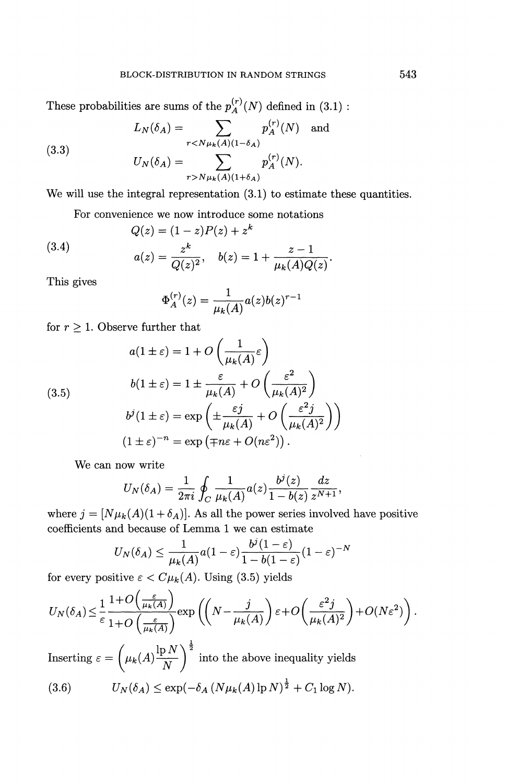These probabilities are sums of the  $p_A^{(r)}(N)$  defined in (3.1) :

(3.3) 
$$
L_N(\delta_A) = \sum_{r < N\mu_k(A)(1-\delta_A)} p_A^{(r)}(N) \text{ and } \\ U_N(\delta_A) = \sum_{r > N\mu_k(A)(1+\delta_A)} p_A^{(r)}(N).
$$

We will use the integral representation  $(3.1)$  to estimate these quantities.

For convenience we now introduce some notations  
\n
$$
Q(z) = (1 - z)P(z) + z^k
$$
\n
$$
a(z) = \frac{z^k}{Q(z)^2}, \quad b(z) = 1 + \frac{z - 1}{\mu_k(A)Q(z)}
$$

This gives

$$
\Phi_A^{(r)}(z) = \frac{1}{\mu_k(A)} a(z) b(z)^{r-1}
$$

for 
$$
r \ge 1
$$
. Observe further that  
\n
$$
a(1 \pm \varepsilon) = 1 + O\left(\frac{1}{\mu_k(A)} \varepsilon\right)
$$
\n
$$
b(1 \pm \varepsilon) = 1 \pm \frac{\varepsilon}{\mu_k(A)} + O\left(\frac{\varepsilon^2}{\mu_k(A)^2}\right)
$$
\n
$$
b^j(1 \pm \varepsilon) = \exp\left(\pm \frac{\varepsilon j}{\mu_k(A)} + O\left(\frac{\varepsilon^2 j}{\mu_k(A)^2}\right)\right)
$$
\n
$$
(1 \pm \varepsilon)^{-n} = \exp\left(\mp n\varepsilon + O(n\varepsilon^2)\right).
$$

We can now write

now write  
\n
$$
U_N(\delta_A) = \frac{1}{2\pi i} \oint_C \frac{1}{\mu_k(A)} a(z) \frac{b^j(z)}{1 - b(z)} \frac{dz}{z^{N+1}},
$$

where  $j = [N\mu_k(A)(1 + \delta_A)]$ . As all the power series involved have positive

coefficients and because of Lemma 1 we can estimate  
\n
$$
U_N(\delta_A) \leq \frac{1}{\mu_k(A)} a(1-\varepsilon) \frac{b^j (1-\varepsilon)}{1-b(1-\varepsilon)} (1-\varepsilon)^{-N}
$$

for every positive 
$$
\varepsilon < C\mu_k(A)
$$
. Using (3.5) yields  
\n
$$
U_N(\delta_A) \leq \frac{1}{\varepsilon} \frac{1+O\left(\frac{\varepsilon}{\mu_k(A)}\right)}{1+O\left(\frac{\varepsilon}{\mu_k(A)}\right)} \exp\left(\left(N - \frac{j}{\mu_k(A)}\right)\varepsilon + O\left(\frac{\varepsilon^2 j}{\mu_k(A)^2}\right) + O(N\varepsilon^2)\right).
$$

Inserting  $\varepsilon = \left( \frac{\mu_b(A)}{\mu_b(A)} \right)^{\frac{1}{2}}$  into the above inequality yield (3.6)  $U_N(\delta_A) \leq \exp(-\delta_A (N\mu_k(A)\ln N)^{\frac{1}{2}} + C_1\log N).$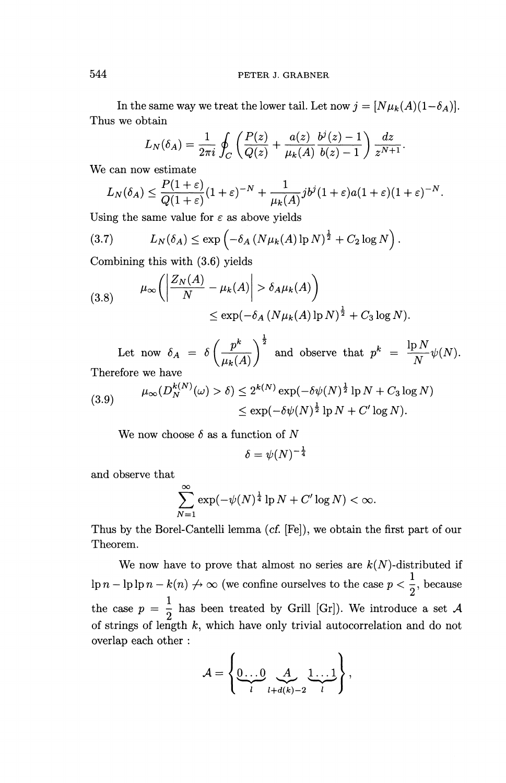In the same way we treat the lower tail. Let now  $j = [N\mu_k(A)(1-\delta_A)].$ Thus we obtain

otain  

$$
L_N(\delta_A) = \frac{1}{2\pi i} \oint_C \left( \frac{P(z)}{Q(z)} + \frac{a(z)}{\mu_k(A)} \frac{b^j(z) - 1}{b(z) - 1} \right) \frac{dz}{z^{N+1}}.
$$

We can now estimate

$$
2\pi i \int_C \left( Q(z) - \mu_k(A) \right) o(z) - 1 \int z^{N+1}
$$
  
can now estimate  

$$
L_N(\delta_A) \le \frac{P(1+\varepsilon)}{Q(1+\varepsilon)} (1+\varepsilon)^{-N} + \frac{1}{\mu_k(A)} j b^j (1+\varepsilon) a (1+\varepsilon) (1+\varepsilon)^{-N}.
$$

Using the same value for  $\varepsilon$  as above yields

(3.7) 
$$
L_N(\delta_A) \leq \exp\left(-\delta_A \left(N\mu_k(A)\ln N\right)^{\frac{1}{2}} + C_2 \log N\right).
$$

Combining this with (3.6) yields  
\n
$$
\mu_{\infty}\left(\left|\frac{Z_N(A)}{N} - \mu_k(A)\right| > \delta_A \mu_k(A)\right)
$$
\n
$$
\leq \exp(-\delta_A (N \mu_k(A)) p N)^{\frac{1}{2}} + C_3 \log N).
$$

 $\mathbb{R}^k$ Let now  $\delta_A = \delta \left( \frac{p^k}{\mu_k(A)} \right)^{\frac{1}{2}}$  and observe that  $p^k = \frac{\ln N}{N} \psi(N)$ Therefore we have

(3.9) 
$$
\mu_{\infty}(D_N^{k(N)}(\omega) > \delta) \leq 2^{k(N)} \exp(-\delta \psi(N)^{\frac{1}{2}} \ln N + C_3 \log N)
$$

$$
\leq \exp(-\delta \psi(N)^{\frac{1}{2}} \ln N + C' \log N).
$$

We now choose  $\delta$  as a function of N

$$
\delta=\psi(N)^{-\frac{1}{4}}
$$

and observe that

$$
\sum_{N=1}^{\infty} \exp(-\psi(N)^{\frac{1}{4}} \ln N + C' \log N) < \infty.
$$

Thus by the Borel-Cantelli lemma (cf. [Fe]), we obtain the first part of our Theorem.

We now have to prove that almost no series are  $k(N)$ -distributed if We now have to prove that almost no series are  $k(N)$ -distributed if  $\ln n - \ln \ln n - k(n) \nightharpoonup \infty$  (we confine ourselves to the case  $p < \frac{1}{2}$ , becaus the case  $p = \frac{1}{1}$  has been treated by Grill [Gr]). We introduce a set  $\lambda$ of strings of length *k,* which have only trivial autocorrelation and do not overlap each other :

$$
\mathcal{A} = \left\{ \underbrace{0 \dots 0}_{l} \underbrace{\mathcal{A}}_{l+d(k)-2} \underbrace{1 \dots 1}_{l} \right\},
$$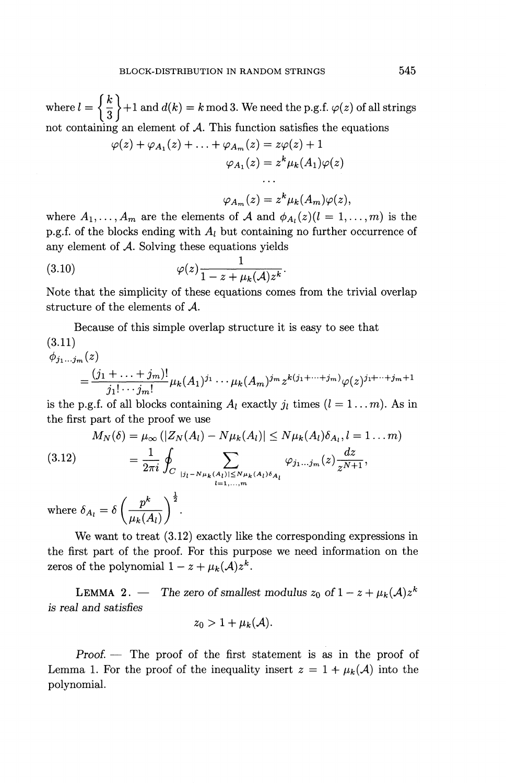where  $l = \left\{\frac{k}{3}\right\} + 1$  and  $d(k) = k \mod 3$ . We need the p.g.f.  $\varphi(z)$  of all strings not containing an element of *A.* This function satisfies the equations *ip(z)* + <^Ai (^) + . . . + *^Am* (^) = *^{z)* + 1

$$
\varphi(z) + \varphi_{A_1}(z) + \ldots + \varphi_{A_m}(z) = z\varphi(z) + 1
$$

$$
\varphi_{A_1}(z) = z^k \mu_k(A_1)\varphi(z)
$$

$$
\ldots
$$

$$
\varphi_{A_m}(z) = z^k \mu_k(A_m)\varphi(z),
$$

where  $A_1, \ldots, A_m$  are the elements of A and  $\phi_{A_l}(z)(l = 1, \ldots, m)$  is the p.g.f. of the blocks ending with *Ai* but containing no further occurrence of any element of *A.* Solving these equations yields

(3.10) 
$$
\varphi(z) \frac{1}{1 - z + \mu_k(A) z^k}.
$$

Note that the simplicity of these equations comes from the trivial overlap structure of the elements of *A.*

Because of this simple overlap structure it is easy to see that  $(9.11)$ 

$$
\phi_{j_1...j_m}(z)
$$
\n
$$
= \frac{(j_1 + ... + j_m)!}{j_1! \cdots j_m!} \mu_k(A_1)^{j_1} \cdots \mu_k(A_m)^{j_m} z^{k(j_1 + ... + j_m)} \varphi(z)^{j_1 + ... + j_m + 1}
$$

is the p.g.f. of all blocks containing  $A_l$  exactly  $j_l$  times  $(l = 1...m)$ . As in

the first part of the proof we use  
\n
$$
M_N(\delta) = \mu_{\infty} (|Z_N(A_l) - N\mu_k(A_l)| \le N\mu_k(A_l)\delta_{A_l}, l = 1 ... m)
$$
\n(3.12)\n
$$
= \frac{1}{2\pi i} \oint_C \sum_{\substack{|j_l - N\mu_k(A_l)| \le N\mu_k(A_l)\delta_{A_l} \\ l = 1,...,m}} \varphi_{j_1...j_m}(z) \frac{dz}{z^{N+1}},
$$

where  $\delta_{A_l} = \delta \left( \frac{p^k}{\mu_k(A_l)} \right)$ 

We want to treat (3.12) exactly like the corresponding expressions in the first part of the proof. For this purpose we need information on the zeros of the polynomial  $1 - z + \mu_k(A)z^k$ 

**LEMMA 2.** — The zero of smallest modulus  $z_0$  of  $1 - z + \mu_k(A)z^k$ *is real and satisfies*

$$
z_0>1+\mu_k(\mathcal{A}).
$$

*Proof. —* The proof of the first statement is as in the proof of Lemma 1. For the proof of the inequality insert  $z = 1 + \mu_k(A)$  into the polynomial.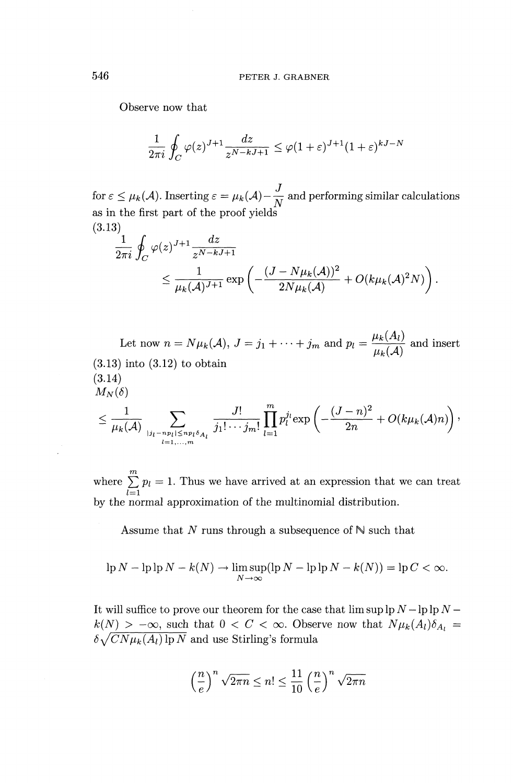Observe now that

$$
\frac{1}{2\pi i} \oint_C \varphi(z)^{J+1} \frac{dz}{z^{N-kJ+1}} \leq \varphi(1+\varepsilon)^{J+1} (1+\varepsilon)^{kJ-N}
$$

for  $\varepsilon \leq \mu_k(\mathcal{A})$ . Inserting  $\varepsilon = \mu_k(\mathcal{A}) - \frac{J}{N}$  and performing similar calculations as in the first part of the proof yields (3.13)

$$
\frac{1}{2\pi i} \oint_C \varphi(z)^{J+1} \frac{dz}{z^{N-kJ+1}} \le \frac{1}{\mu_k(\mathcal{A})^{J+1}} \exp\left(-\frac{(J - N\mu_k(\mathcal{A}))^2}{2N\mu_k(\mathcal{A})} + O(k\mu_k(\mathcal{A})^2 N)\right)
$$

Let now  $n = N\mu_k(\mathcal{A}), J = j_1 + \cdots + j_m$  and  $p_l = \frac{\mu_k(A_l)}{\mu_k(\mathcal{A})}$  and insert  $(3.13)$  into  $(3.12)$  to obtain (3.14)  $M_N(\delta)$ 14) $\frac{1}{N} \left( \frac{1}{\mu_k(\mathcal{A})} \sum_{\substack{|j_l = np_l \leq np_l \delta_{A_l} \ j_1 | \cdots j_m \in \mathbb{N}^l}} \frac{J!}{j_1! \cdots j_m!} \right)$ 

$$
\leq \frac{1}{\mu_k(\mathcal{A})}\sum_{\substack{|j_l - n_{p_l}| \leq n_{p_l}\delta_{A_l}\\l = 1, \ldots, m}} \frac{J!}{j_1! \cdots j_m!} \prod_{l = 1}^m p_l^{j_l} \exp \left(-\frac{(J - n)^2}{2n} + O(k\mu_k(\mathcal{A})n)\right),
$$

where  $\sum_{l=1}^{m} p_l = 1$ . Thus we have arrived at an expression that we can treat by the normal approximation of the multinomial distribution.

Assume that  $N$  runs through a subsequence of  $\mathbb N$  such that

$$
\ln N - \ln \ln N - k(N) \to \limsup_{N \to \infty} (\ln N - \ln \ln N - k(N)) = \ln C < \infty.
$$

It will suffice to prove our theorem for the case that lim sup Ip *N —* Ip Ip *N*   $k(N) > -\infty$ , such that  $0 < C < \infty$ . Observe now that  $N\mu_k(A_l)\delta_{A_l} =$  $\delta \sqrt{CN\mu_k (A_l)\ln N}$  and use Stirling's formula

$$
\left(\frac{n}{e}\right)^n \sqrt{2\pi n} \le n! \le \frac{11}{10} \left(\frac{n}{e}\right)^n \sqrt{2\pi n}
$$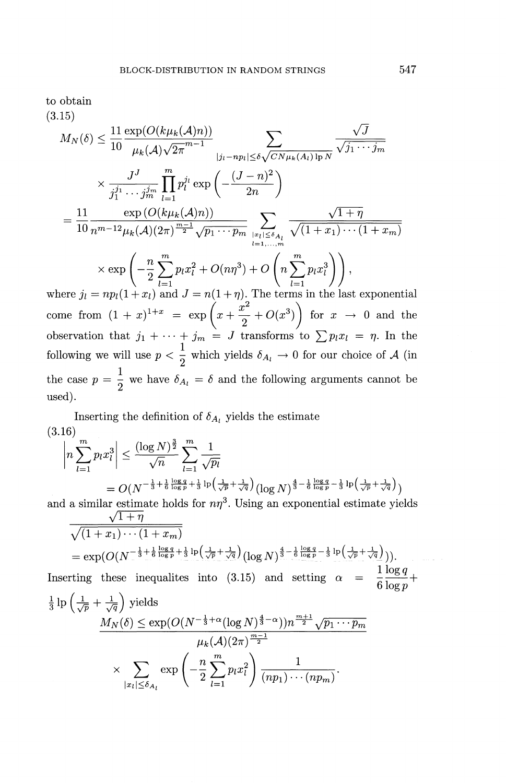to obtain

(3.15)

15)  
\n
$$
M_N(\delta) \leq \frac{11}{10} \frac{\exp(O(k\mu_k(A)n))}{\mu_k(A)\sqrt{2\pi}^{m-1}} \sum_{|j_l - np_l| \leq \delta \sqrt{CN\mu_k(A_l)} \ln N} \frac{\sqrt{J}}{\sqrt{j_1 \cdots j_m}}
$$
\n
$$
\times \frac{J^J}{j_1^{j_1} \cdots j_m^{j_m}} \prod_{l=1}^m p_l^{j_l} \exp\left(-\frac{(J-n)^2}{2n}\right)
$$
\n
$$
= \frac{11}{10} \frac{\exp(O(k\mu_k(A)n))}{n^{m-12}\mu_k(A)(2\pi)^{\frac{m-1}{2}}\sqrt{p_1 \cdots p_m}} \sum_{|z_l| \leq \delta_{A_l}} \frac{\sqrt{1+\eta}}{\sqrt{(1+x_1)\cdots(1+x_m)}}
$$
\n
$$
\times \exp\left(-\frac{n}{2} \sum_{l=1}^m p_l x_l^2 + O(n\eta^3) + O\left(n \sum_{l=1}^m p_l x_l^3\right)\right),
$$
\nwhere  $j_l = n! (1+x_l)$  and  $I = n(1+n)$ . The terms in the last exponent

where  $j_l = np_l(1+x_l)$  and  $J = n(1+\eta)$ . The terms in the last exponential  $\int x^2$  $\times \exp\left(-\frac{\pi}{2}\sum_{l=1}^n p_l x_l^2 + O(n\eta^3) + O\left(n\sum_{l=1}^n p_l x_l^3\right)\right),$ <br>where  $j_l = np_l(1 + x_l)$  and  $J = n(1 + \eta)$ . The terms in the last exponential<br>come from  $(1 + x)^{1+x} = \exp\left(x + \frac{x^2}{2} + O(x^3)\right)$  for  $x \to 0$  and the observation that  $j_1 + \cdots + j_m = J$  transforms to  $\sum p_i x_i = \eta$ . In the following we will use  $p < \frac{1}{2}$  which yields  $\delta_{A_i} \to 0$  for our choice of A (in  $\frac{1}{1}$   $\frac{1}{2}$ the case  $p = \frac{1}{2}$  we have  $\delta_{A_i} = \delta$  and the following arguments cannot be used).

Inserting the definition of  $\delta_{A_i}$  yields the estimate (3.16)  $\left| \sum_{m,n^3}^m \right| < \frac{(\log N)^{\frac{3}{2}}}{\ln N} \sum_{n=1}^m \frac{1}{\log N}$ 

$$
\left| n \sum_{l=1}^{m} p_l x_l^3 \right| \leq \frac{(\log N)^{\frac{3}{2}}}{\sqrt{n}} \sum_{l=1}^{m} \frac{1}{\sqrt{p_l}}
$$
  
=  $O(N^{-\frac{1}{3} + \frac{1}{6} \log p + \frac{1}{3} \log (\frac{1}{\sqrt{p}} + \frac{1}{\sqrt{q}})} (\log N)^{\frac{4}{3} - \frac{1}{6} \log p - \frac{1}{3} \log (\frac{1}{\sqrt{p}} + \frac{1}{\sqrt{q}})})$ 

and a similar estimate holds for  $n\eta^3$ . Using an exponential estimate yields  $\sqrt{1+\eta}$ 

$$
\frac{\sqrt{(1+x_1)\cdots(1+x_m)}}{=\exp(O(N^{-\frac{1}{3}+\frac{1}{6}\frac{\log q}{\log p}+\frac{1}{3}\log(\frac{1}{\sqrt{p}}+\frac{1}{\sqrt{q}})}(\log N)^{\frac{4}{3}-\frac{1}{6}\frac{\log q}{\log p}-\frac{1}{3}\log(\frac{1}{\sqrt{p}}+\frac{1}{\sqrt{q}})})).
$$
\n1 log q

Inserting these inequalities into (3.15) and setting 
$$
\alpha = \frac{1}{6} \frac{\log q}{\log p} + \frac{1}{3} \ln \left( \frac{1}{\sqrt{p}} + \frac{1}{\sqrt{q}} \right)
$$
 yields

$$
\frac{M_N(\delta) \leq \exp(O(N^{-\frac{1}{3}+\alpha}(\log N)^{\frac{4}{3}-\alpha}))n^{\frac{m+1}{2}}\sqrt{p_1\cdots p_m}}{\mu_k(\mathcal{A})(2\pi)^{\frac{m-1}{2}}}
$$

$$
\times \sum_{|x_l|\leq \delta_{A_l}} \exp\left(-\frac{n}{2}\sum_{l=1}^m p_l x_l^2\right) \frac{1}{(np_1)\cdots(np_m)}.
$$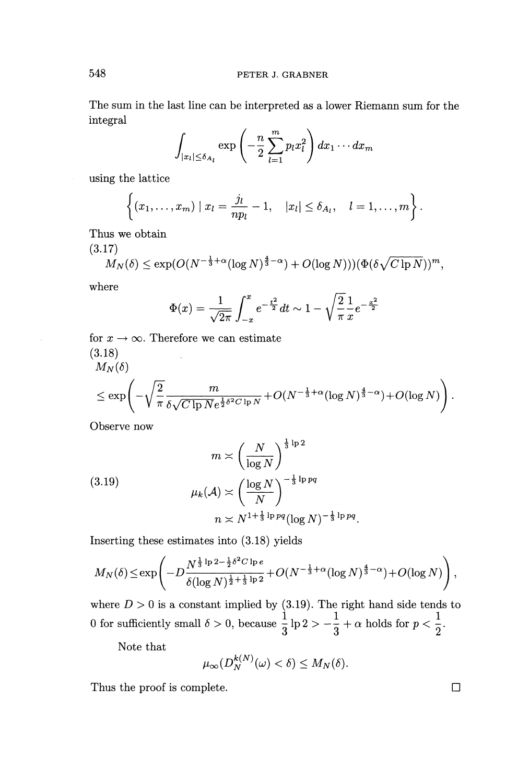The sum in the last line can be interpreted as a lower Riemann sum for the integral

$$
\int_{|x_l|\leq \delta_{A_l}} \exp\left(-\frac{n}{2}\sum_{l=1}^m p_l x_l^2\right) dx_1\cdots dx_m
$$

using the lattice

$$
\left\{(x_1,\ldots,x_m)\mid x_l=\frac{j_l}{np_l}-1,\quad |x_l|\leq \delta_{A_l},\quad l=1,\ldots,m\right\}.
$$

**Thus we obtain**

(3.17)

$$
M_N(\delta) \le \exp(O(N^{-\frac{1}{3}+\alpha}(\log N)^{\frac{4}{3}-\alpha})+O(\log N))(\Phi(\delta\sqrt{C\ln N}))^m,
$$

where

$$
\Phi(x) = \frac{1}{\sqrt{2\pi}} \int_{-x}^{x} e^{-\frac{t^2}{2}} dt \sim 1 - \sqrt{\frac{2}{\pi}} \frac{1}{x} e^{-\frac{x^2}{2}}
$$

for  $x \to \infty$ . Therefore we can estimate  $(3.18)$ <br>M<sub>y</sub>(6  $\mathbf{r}$ 

$$
\leq \exp\left(-\sqrt{\frac{2}{\pi}} \frac{m}{\delta\sqrt{C\ln N}e^{\frac{1}{2}\delta^2 C\ln N}} + O(N^{-\frac{1}{3}+\alpha}(\log N)^{\frac{4}{3}-\alpha}) + O(\log N)\right).
$$

Observe now

(3.19)  
\n
$$
m \asymp \left(\frac{N}{\log N}\right)^{\frac{1}{3}\log 2}
$$
\n
$$
\mu_k(\mathcal{A}) \asymp \left(\frac{\log N}{N}\right)^{-\frac{1}{3}\log q}
$$
\n
$$
n \asymp N^{1+\frac{1}{3}\log q} (\log N)^{-\frac{1}{3}\log \log q}
$$

Inserting these estimates into  $(3.18)$  yields

$$
M_N(\delta) \le \exp\left(-D\frac{N^{\frac{1}{3}\ln 2 - \frac{1}{2}\delta^2 C \ln e}}{\delta(\log N)^{\frac{1}{2} + \frac{1}{3}\ln 2}} + O(N^{-\frac{1}{3} + \alpha}(\log N)^{\frac{4}{3} - \alpha}) + O(\log N)\right),
$$

where  $D > 0$  is a constant implied by (3.19). The right hand side tends to 0 for sufficiently small  $\delta > 0$ , because  $\frac{1}{2} \ln 2 > -\frac{1}{2} + \alpha$  holds for  $p < 1$ .  $e \frac{1}{3}$  lp 2 >  $-\frac{1}{3} + \alpha$  holds for  $p <$ 

Note that

$$
\mu_\infty(D_N^{k(N)}(\omega)<\delta)\leq M_N(\delta).
$$

Thus the proof is complete.  $\Box$